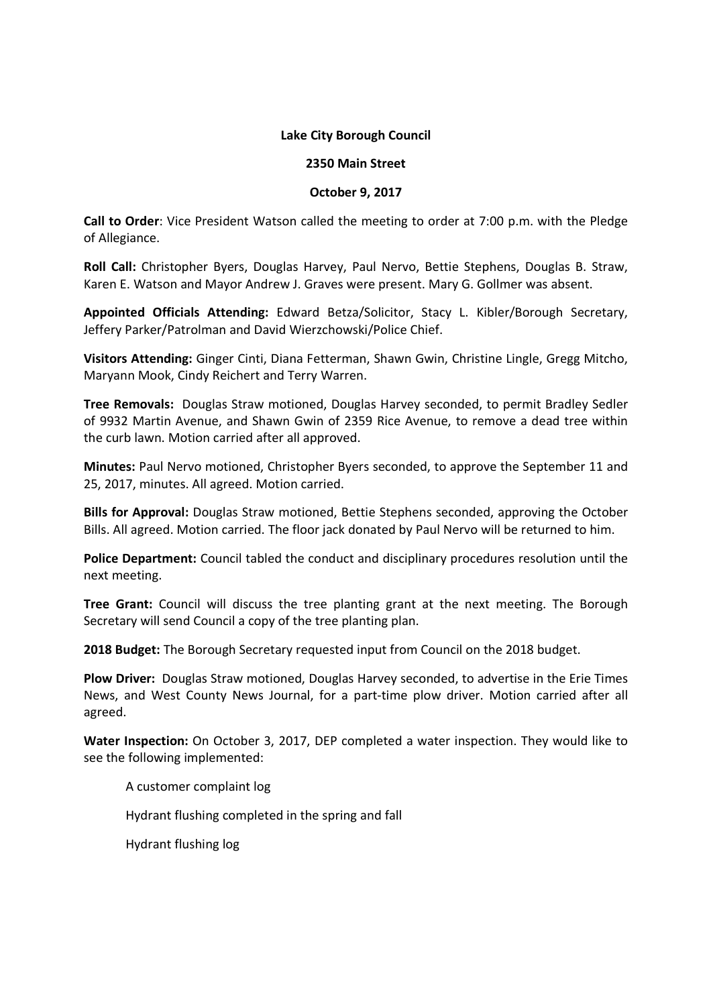### **Lake City Borough Council**

#### **2350 Main Street**

### **October 9, 2017**

**Call to Order**: Vice President Watson called the meeting to order at 7:00 p.m. with the Pledge of Allegiance.

**Roll Call:** Christopher Byers, Douglas Harvey, Paul Nervo, Bettie Stephens, Douglas B. Straw, Karen E. Watson and Mayor Andrew J. Graves were present. Mary G. Gollmer was absent.

**Appointed Officials Attending:** Edward Betza/Solicitor, Stacy L. Kibler/Borough Secretary, Jeffery Parker/Patrolman and David Wierzchowski/Police Chief.

**Visitors Attending:** Ginger Cinti, Diana Fetterman, Shawn Gwin, Christine Lingle, Gregg Mitcho, Maryann Mook, Cindy Reichert and Terry Warren.

**Tree Removals:** Douglas Straw motioned, Douglas Harvey seconded, to permit Bradley Sedler of 9932 Martin Avenue, and Shawn Gwin of 2359 Rice Avenue, to remove a dead tree within the curb lawn. Motion carried after all approved.

**Minutes:** Paul Nervo motioned, Christopher Byers seconded, to approve the September 11 and 25, 2017, minutes. All agreed. Motion carried.

**Bills for Approval:** Douglas Straw motioned, Bettie Stephens seconded, approving the October Bills. All agreed. Motion carried. The floor jack donated by Paul Nervo will be returned to him.

**Police Department:** Council tabled the conduct and disciplinary procedures resolution until the next meeting.

**Tree Grant:** Council will discuss the tree planting grant at the next meeting. The Borough Secretary will send Council a copy of the tree planting plan.

**2018 Budget:** The Borough Secretary requested input from Council on the 2018 budget.

**Plow Driver:** Douglas Straw motioned, Douglas Harvey seconded, to advertise in the Erie Times News, and West County News Journal, for a part-time plow driver. Motion carried after all agreed.

**Water Inspection:** On October 3, 2017, DEP completed a water inspection. They would like to see the following implemented:

A customer complaint log

Hydrant flushing completed in the spring and fall

Hydrant flushing log